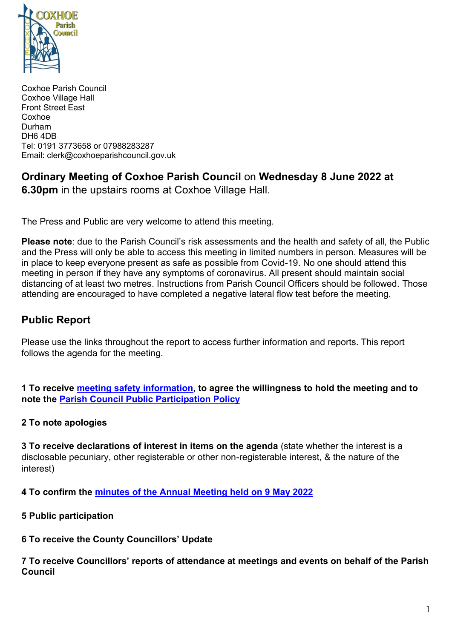

Coxhoe Parish Council Coxhoe Village Hall Front Street East Coxhoe Durham DH6 4DB Tel: 0191 3773658 or 07988283287 Email: clerk@coxhoeparishcouncil.gov.uk

**Ordinary Meeting of Coxhoe Parish Council** on **Wednesday 8 June 2022 at 6.30pm** in the upstairs rooms at Coxhoe Village Hall.

The Press and Public are very welcome to attend this meeting.

**Please note**: due to the Parish Council's risk assessments and the health and safety of all, the Public and the Press will only be able to access this meeting in limited numbers in person. Measures will be in place to keep everyone present as safe as possible from Covid-19. No one should attend this meeting in person if they have any symptoms of coronavirus. All present should maintain social distancing of at least two metres. Instructions from Parish Council Officers should be followed. Those attending are encouraged to have completed a negative lateral flow test before the meeting.

# **Public Report**

Please use the links throughout the report to access further information and reports. This report follows the agenda for the meeting.

**1 To receive [meeting safety information,](https://1drv.ms/b/s!Alg_TKmu7xwUge07VSFitr5YDuNlzA?e=3ltwYe) to agree the willingness to hold the meeting and to note the [Parish Council Public Participation Policy](https://www.coxhoeparishcouncil.gov.uk/wp-content/uploads/sites/4/2022/04/Public-Participation-Policy-March-2022.pdf)**

#### **2 To note apologies**

**3 To receive declarations of interest in items on the agenda** (state whether the interest is a disclosable pecuniary, other registerable or other non-registerable interest, & the nature of the interest)

**4 To confirm the [minutes of the Annual](https://1drv.ms/b/s!Alg_TKmu7xwUge5cMM-sFUhbbZVpNA?e=0JSFu7) Meeting held on 9 May 2022**

- **5 Public participation**
- **6 To receive the County Councillors' Update**

**7 To receive Councillors' reports of attendance at meetings and events on behalf of the Parish Council**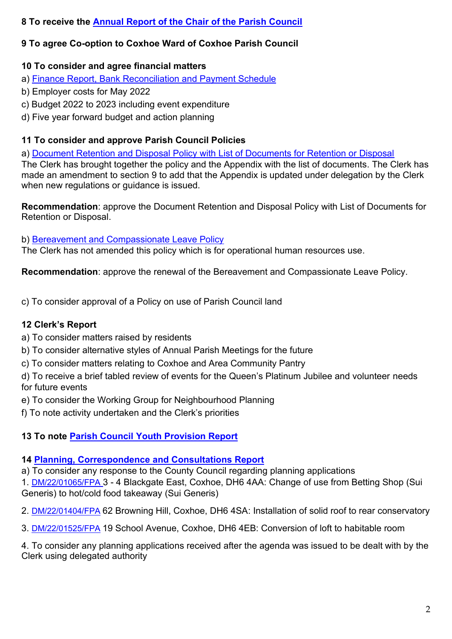### **8 To receive the [Annual Report of the Chair of the Parish Council](https://1drv.ms/b/s!Alg_TKmu7xwUge1VRTK2q7WlXjykSw?e=xUUXHo)**

### **9 To agree Co-option to Coxhoe Ward of Coxhoe Parish Council**

### **10 To consider and agree financial matters**

- a) [Finance Report, Bank Reconciliation and Payment Schedule](https://1drv.ms/b/s!Alg_TKmu7xwUge5HGr73n80x3_jMXw?e=RHEqAx)
- b) Employer costs for May 2022
- c) Budget 2022 to 2023 including event expenditure
- d) Five year forward budget and action planning

# **11 To consider and approve Parish Council Policies**

a) [Document Retention and Disposal Policy with List of Documents for Retention or Disposal](https://1drv.ms/b/s!Alg_TKmu7xwUge5qiSzmei-9aJkCdw?e=YrOaqn)

The Clerk has brought together the policy and the Appendix with the list of documents. The Clerk has made an amendment to section 9 to add that the Appendix is updated under delegation by the Clerk when new regulations or guidance is issued.

**Recommendation**: approve the Document Retention and Disposal Policy with List of Documents for Retention or Disposal.

### b) [Bereavement and Compassionate Leave Policy](https://1drv.ms/b/s!Alg_TKmu7xwUge5kyyxwTkCTOnlfuQ?e=al0JAa)

The Clerk has not amended this policy which is for operational human resources use.

**Recommendation**: approve the renewal of the Bereavement and Compassionate Leave Policy.

c) To consider approval of a Policy on use of Parish Council land

# **12 Clerk's Report**

- a) To consider matters raised by residents
- b) To consider alternative styles of Annual Parish Meetings for the future
- c) To consider matters relating to Coxhoe and Area Community Pantry

d) To receive a brief tabled review of events for the Queen's Platinum Jubilee and volunteer needs for future events

- e) To consider the Working Group for Neighbourhood Planning
- f) To note activity undertaken and the Clerk's priorities

# **13 To note [Parish Council Youth Provision](https://1drv.ms/b/s!Alg_TKmu7xwUge4MMia0gAiR_YKY5g?e=w76o75) Report**

# **14 [Planning, Correspondence](https://1drv.ms/b/s!Alg_TKmu7xwUge1K5dqYByiuZ1_eIA?e=TLqZXM) and Consultations Report**

a) To consider any response to the County Council regarding planning applications

1. [DM/22/01065/FPA](https://publicaccess.durham.gov.uk/online-applications/applicationDetails.do?activeTab=summary&keyVal=RA0NXBGDLND00) 3 - 4 Blackgate East, Coxhoe, DH6 4AA: Change of use from Betting Shop (Sui Generis) to hot/cold food takeaway (Sui Generis)

- 2. [DM/22/01404/FPA](https://publicaccess.durham.gov.uk/online-applications/applicationDetails.do?activeTab=summary&keyVal=RBQ32EGDM6W00) 62 Browning Hill, Coxhoe, DH6 4SA: Installation of solid roof to rear conservatory
- 3. [DM/22/01525/FPA](https://publicaccess.durham.gov.uk/online-applications/applicationDetails.do?activeTab=summary&keyVal=RCBOT6GDMDJ00) 19 School Avenue, Coxhoe, DH6 4EB: Conversion of loft to habitable room

4. To consider any planning applications received after the agenda was issued to be dealt with by the Clerk using delegated authority